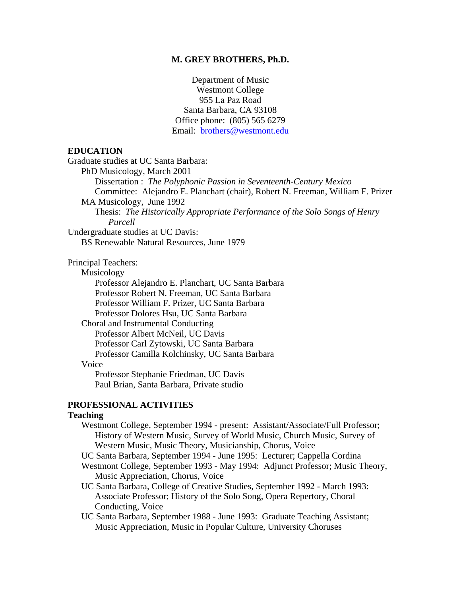#### **M. GREY BROTHERS, Ph.D.**

Department of Music Westmont College 955 La Paz Road Santa Barbara, CA 93108 Office phone: (805) 565 6279 Email: brothers@westmont.edu

## **EDUCATION**

Graduate studies at UC Santa Barbara:

PhD Musicology, March 2001

Dissertation : *The Polyphonic Passion in Seventeenth-Century Mexico* Committee: Alejandro E. Planchart (chair), Robert N. Freeman, William F. Prizer

MA Musicology, June 1992

Thesis: *The Historically Appropriate Performance of the Solo Songs of Henry Purcell*

Undergraduate studies at UC Davis: BS Renewable Natural Resources, June 1979

Principal Teachers:

Musicology

Professor Alejandro E. Planchart, UC Santa Barbara Professor Robert N. Freeman, UC Santa Barbara Professor William F. Prizer, UC Santa Barbara Professor Dolores Hsu, UC Santa Barbara Choral and Instrumental Conducting Professor Albert McNeil, UC Davis Professor Carl Zytowski, UC Santa Barbara Professor Camilla Kolchinsky, UC Santa Barbara

#### Voice

Professor Stephanie Friedman, UC Davis Paul Brian, Santa Barbara, Private studio

## **PROFESSIONAL ACTIVITIES**

#### **Teaching**

- Westmont College, September 1994 present: Assistant/Associate/Full Professor; History of Western Music, Survey of World Music, Church Music, Survey of Western Music, Music Theory, Musicianship, Chorus, Voice
- UC Santa Barbara, September 1994 June 1995: Lecturer; Cappella Cordina
- Westmont College, September 1993 May 1994: Adjunct Professor; Music Theory, Music Appreciation, Chorus, Voice
- UC Santa Barbara, College of Creative Studies, September 1992 March 1993: Associate Professor; History of the Solo Song, Opera Repertory, Choral Conducting, Voice
- UC Santa Barbara, September 1988 June 1993: Graduate Teaching Assistant; Music Appreciation, Music in Popular Culture, University Choruses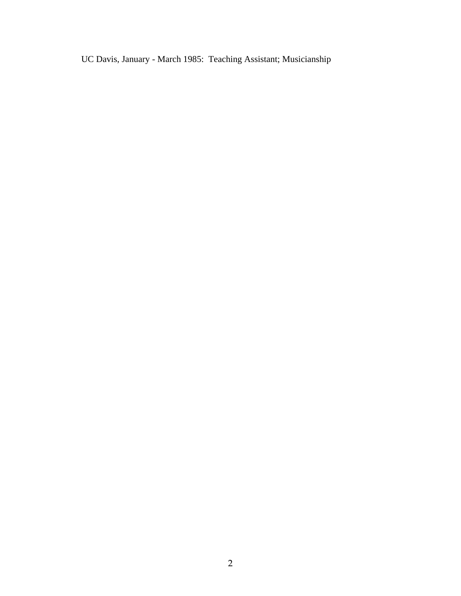UC Davis, January - March 1985: Teaching Assistant; Musicianship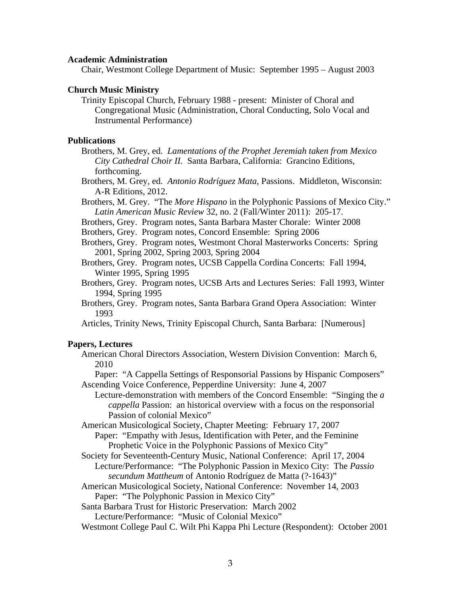#### **Academic Administration**

Chair, Westmont College Department of Music: September 1995 – August 2003

#### **Church Music Ministry**

Trinity Episcopal Church, February 1988 - present: Minister of Choral and Congregational Music (Administration, Choral Conducting, Solo Vocal and Instrumental Performance)

#### **Publications**

- Brothers, M. Grey, ed. *Lamentations of the Prophet Jeremiah taken from Mexico City Cathedral Choir II.* Santa Barbara, California: Grancino Editions, forthcoming.
- Brothers, M. Grey, ed. *Antonio Rodríguez Mata,* Passions. Middleton, Wisconsin: A-R Editions, 2012.
- Brothers, M. Grey. "The *More Hispano* in the Polyphonic Passions of Mexico City." *Latin American Music Review* 32, no. 2 (Fall/Winter 2011): 205-17.
- Brothers, Grey. Program notes, Santa Barbara Master Chorale: Winter 2008
- Brothers, Grey. Program notes, Concord Ensemble: Spring 2006
- Brothers, Grey. Program notes, Westmont Choral Masterworks Concerts: Spring 2001, Spring 2002, Spring 2003, Spring 2004
- Brothers, Grey. Program notes, UCSB Cappella Cordina Concerts: Fall 1994, Winter 1995, Spring 1995
- Brothers, Grey. Program notes, UCSB Arts and Lectures Series: Fall 1993, Winter 1994, Spring 1995
- Brothers, Grey. Program notes, Santa Barbara Grand Opera Association: Winter 1993

Articles, Trinity News, Trinity Episcopal Church, Santa Barbara: [Numerous]

#### **Papers, Lectures**

American Choral Directors Association, Western Division Convention: March 6, 2010

Paper: "A Cappella Settings of Responsorial Passions by Hispanic Composers" Ascending Voice Conference, Pepperdine University: June 4, 2007

Lecture-demonstration with members of the Concord Ensemble: "Singing the *a cappella* Passion: an historical overview with a focus on the responsorial Passion of colonial Mexico"

American Musicological Society, Chapter Meeting: February 17, 2007

Paper: "Empathy with Jesus, Identification with Peter, and the Feminine Prophetic Voice in the Polyphonic Passions of Mexico City"

- Society for Seventeenth-Century Music, National Conference: April 17, 2004 Lecture/Performance: "The Polyphonic Passion in Mexico City: The *Passio secundum Mattheum* of Antonio Rodríguez de Matta (?-1643)"
- American Musicological Society, National Conference: November 14, 2003 Paper: "The Polyphonic Passion in Mexico City"

Santa Barbara Trust for Historic Preservation: March 2002

Lecture/Performance: "Music of Colonial Mexico"

Westmont College Paul C. Wilt Phi Kappa Phi Lecture (Respondent): October 2001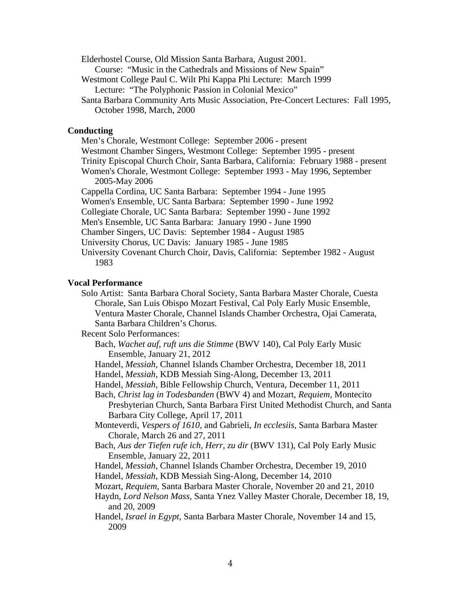Elderhostel Course, Old Mission Santa Barbara, August 2001.

Course: "Music in the Cathedrals and Missions of New Spain"

Westmont College Paul C. Wilt Phi Kappa Phi Lecture: March 1999

Lecture: "The Polyphonic Passion in Colonial Mexico"

Santa Barbara Community Arts Music Association, Pre-Concert Lectures: Fall 1995, October 1998, March, 2000

### **Conducting**

Men's Chorale, Westmont College: September 2006 - present Westmont Chamber Singers, Westmont College: September 1995 - present Trinity Episcopal Church Choir, Santa Barbara, California: February 1988 - present Women's Chorale, Westmont College: September 1993 - May 1996, September 2005-May 2006 Cappella Cordina, UC Santa Barbara: September 1994 - June 1995 Women's Ensemble, UC Santa Barbara: September 1990 - June 1992 Collegiate Chorale, UC Santa Barbara: September 1990 - June 1992 Men's Ensemble, UC Santa Barbara: January 1990 - June 1990 Chamber Singers, UC Davis: September 1984 - August 1985

University Chorus, UC Davis: January 1985 - June 1985

University Covenant Church Choir, Davis, California: September 1982 - August 1983

# **Vocal Performance**

Solo Artist: Santa Barbara Choral Society, Santa Barbara Master Chorale, Cuesta Chorale, San Luis Obispo Mozart Festival, Cal Poly Early Music Ensemble, Ventura Master Chorale, Channel Islands Chamber Orchestra, Ojai Camerata, Santa Barbara Children's Chorus.

Recent Solo Performances:

- Bach, *Wachet auf, ruft uns die Stimme* (BWV 140), Cal Poly Early Music Ensemble, January 21, 2012
- Handel, *Messiah*, Channel Islands Chamber Orchestra, December 18, 2011

Handel, *Messiah*, KDB Messiah Sing-Along, December 13, 2011

Handel, *Messiah*, Bible Fellowship Church, Ventura, December 11, 2011

Bach, *Christ lag in Todesbanden* (BWV 4) and Mozart, *Requiem,* Montecito

Presbyterian Church, Santa Barbara First United Methodist Church, and Santa Barbara City College, April 17, 2011

- Monteverdi, *Vespers of 1610,* and Gabrieli, *In ecclesiis,* Santa Barbara Master Chorale, March 26 and 27, 2011
- Bach, *Aus der Tiefen rufe ich, Herr, zu dir* (BWV 131), Cal Poly Early Music Ensemble, January 22, 2011
- Handel, *Messiah*, Channel Islands Chamber Orchestra, December 19, 2010
- Handel, *Messiah*, KDB Messiah Sing-Along, December 14, 2010
- Mozart, *Requiem,* Santa Barbara Master Chorale, November 20 and 21, 2010
- Haydn, *Lord Nelson Mass,* Santa Ynez Valley Master Chorale, December 18, 19, and 20, 2009

Handel, *Israel in Egypt,* Santa Barbara Master Chorale, November 14 and 15, 2009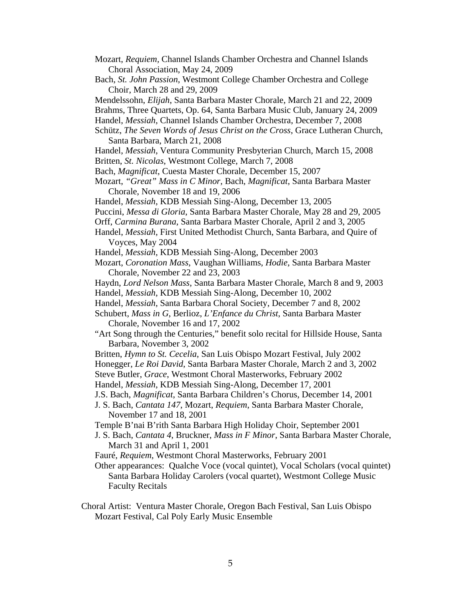- Mozart, *Requiem,* Channel Islands Chamber Orchestra and Channel Islands Choral Association, May 24, 2009
- Bach, *St. John Passion*, Westmont College Chamber Orchestra and College Choir, March 28 and 29, 2009
- Mendelssohn, *Elijah*, Santa Barbara Master Chorale, March 21 and 22, 2009
- Brahms, Three Quartets, Op. 64*,* Santa Barbara Music Club, January 24, 2009
- Handel, *Messiah*, Channel Islands Chamber Orchestra, December 7, 2008
- Schütz, *The Seven Words of Jesus Christ on the Cross*, Grace Lutheran Church, Santa Barbara, March 21, 2008
- Handel, *Messiah*, Ventura Community Presbyterian Church, March 15, 2008 Britten, *St. Nicolas*, Westmont College, March 7, 2008
- Bach, *Magnificat*, Cuesta Master Chorale, December 15, 2007
- Mozart, *"Great" Mass in C Minor*, Bach, *Magnificat*, Santa Barbara Master Chorale, November 18 and 19, 2006
- Handel, *Messiah*, KDB Messiah Sing-Along, December 13, 2005
- Puccini, *Messa di Gloria*, Santa Barbara Master Chorale, May 28 and 29, 2005
- Orff, *Carmina Burana*, Santa Barbara Master Chorale, April 2 and 3, 2005
- Handel, *Messiah*, First United Methodist Church, Santa Barbara, and Quire of Voyces, May 2004
- Handel, *Messiah*, KDB Messiah Sing-Along, December 2003
- Mozart, *Coronation Mass*, Vaughan Williams, *Hodie*, Santa Barbara Master Chorale, November 22 and 23, 2003
- Haydn, *Lord Nelson Mass*, Santa Barbara Master Chorale, March 8 and 9, 2003 Handel, *Messiah*, KDB Messiah Sing-Along, December 10, 2002
- Handel, *Messiah*, Santa Barbara Choral Society, December 7 and 8, 2002
- Schubert, *Mass in G*, Berlioz, *L'Enfance du Christ*, Santa Barbara Master Chorale, November 16 and 17, 2002
- "Art Song through the Centuries," benefit solo recital for Hillside House, Santa Barbara, November 3, 2002
- Britten, *Hymn to St. Cecelia*, San Luis Obispo Mozart Festival, July 2002
- Honegger, *Le Roi David*, Santa Barbara Master Chorale, March 2 and 3, 2002
- Steve Butler, *Grace*, Westmont Choral Masterworks, February 2002
- Handel, *Messiah*, KDB Messiah Sing-Along, December 17, 2001
- J.S. Bach, *Magnificat*, Santa Barbara Children's Chorus, December 14, 2001
- J. S. Bach, *Cantata 147*, Mozart, *Requiem*, Santa Barbara Master Chorale, November 17 and 18, 2001
- Temple B'nai B'rith Santa Barbara High Holiday Choir, September 2001
- J. S. Bach, *Cantata 4*, Bruckner, *Mass in F Minor*, Santa Barbara Master Chorale, March 31 and April 1, 2001
- Fauré, *Requiem*, Westmont Choral Masterworks, February 2001
- Other appearances: Qualche Voce (vocal quintet), Vocal Scholars (vocal quintet) Santa Barbara Holiday Carolers (vocal quartet), Westmont College Music Faculty Recitals
- Choral Artist: Ventura Master Chorale, Oregon Bach Festival, San Luis Obispo Mozart Festival, Cal Poly Early Music Ensemble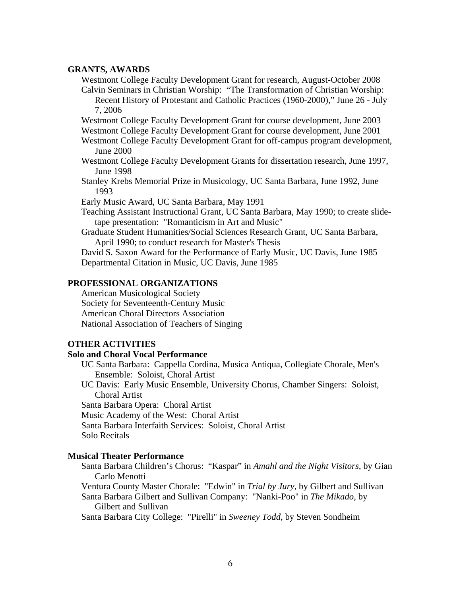#### **GRANTS, AWARDS**

Westmont College Faculty Development Grant for research, August-October 2008 Calvin Seminars in Christian Worship: "The Transformation of Christian Worship: Recent History of Protestant and Catholic Practices (1960-2000)," June 26 - July 7, 2006

Westmont College Faculty Development Grant for course development, June 2003

Westmont College Faculty Development Grant for course development, June 2001

Westmont College Faculty Development Grant for off-campus program development, June 2000

- Westmont College Faculty Development Grants for dissertation research, June 1997, June 1998
- Stanley Krebs Memorial Prize in Musicology, UC Santa Barbara, June 1992, June 1993
- Early Music Award, UC Santa Barbara, May 1991

Teaching Assistant Instructional Grant, UC Santa Barbara, May 1990; to create slidetape presentation: "Romanticism in Art and Music"

Graduate Student Humanities/Social Sciences Research Grant, UC Santa Barbara, April 1990; to conduct research for Master's Thesis

David S. Saxon Award for the Performance of Early Music, UC Davis, June 1985 Departmental Citation in Music, UC Davis, June 1985

### **PROFESSIONAL ORGANIZATIONS**

American Musicological Society Society for Seventeenth-Century Music American Choral Directors Association National Association of Teachers of Singing

# **OTHER ACTIVITIES**

### **Solo and Choral Vocal Performance**

UC Santa Barbara: Cappella Cordina, Musica Antiqua, Collegiate Chorale, Men's Ensemble: Soloist, Choral Artist

UC Davis: Early Music Ensemble, University Chorus, Chamber Singers: Soloist, Choral Artist

Santa Barbara Opera: Choral Artist

Music Academy of the West: Choral Artist

Santa Barbara Interfaith Services: Soloist, Choral Artist

Solo Recitals

### **Musical Theater Performance**

Santa Barbara Children's Chorus: "Kaspar" in *Amahl and the Night Visitors,* by Gian Carlo Menotti

Ventura County Master Chorale: "Edwin" in *Trial by Jury*, by Gilbert and Sullivan

Santa Barbara Gilbert and Sullivan Company: "Nanki-Poo" in *The Mikado*, by Gilbert and Sullivan

Santa Barbara City College: "Pirelli" in *Sweeney Todd*, by Steven Sondheim